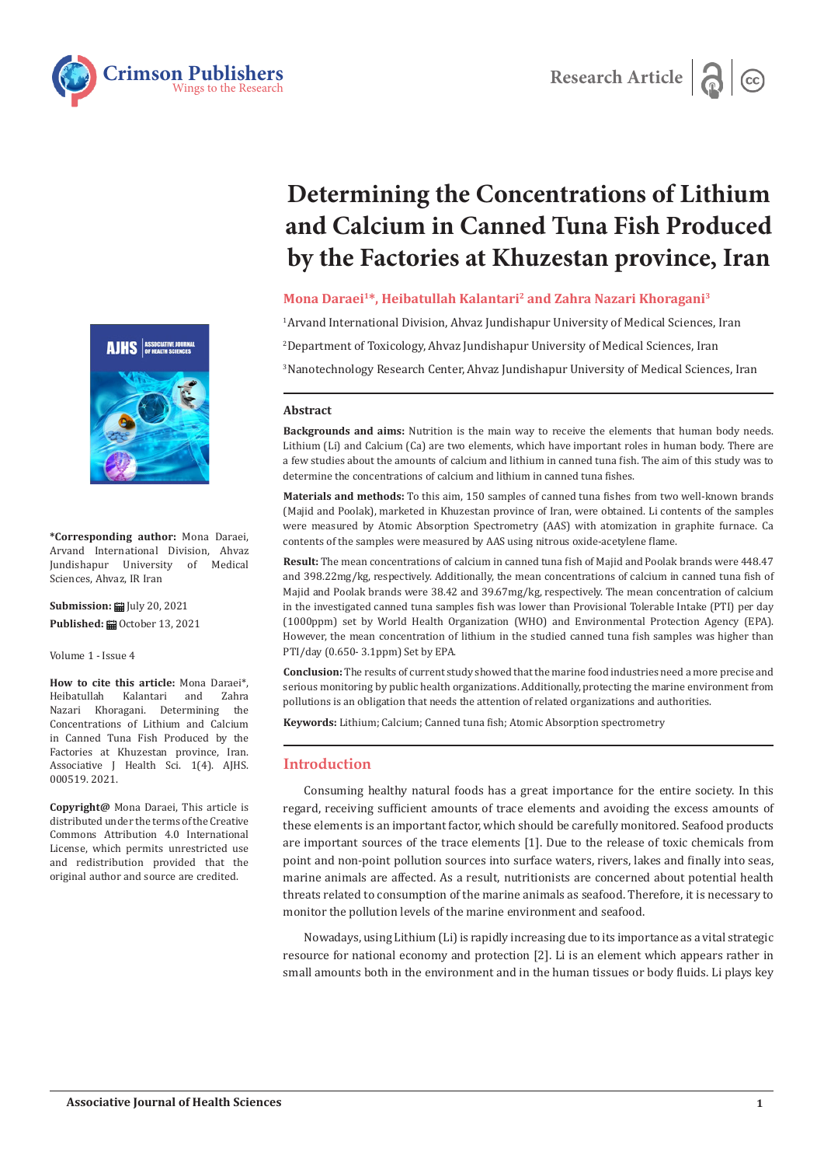



**\*Corresponding author:** Mona Daraei, Arvand International Division, Ahvaz Jundishapur University of Medical Sciences, Ahvaz, IR Iran

**Submission: iii** July 20, 2021 Published: **■** October 13, 2021

Volume 1 - Issue 4

**How to cite this article:** Mona Daraei\*,<br>Heibatullah Kalantari and Zahra Heibatullah Kalantari and Zahra Nazari Khoragani. Determining the Concentrations of Lithium and Calcium in Canned Tuna Fish Produced by the Factories at Khuzestan province, Iran. Associative J Health Sci. 1(4). AJHS. 000519. 2021.

**Copyright@** Mona Daraei, This article is distributed under the terms of the Creative Commons Attribution 4.0 International License, which permits unrestricted use and redistribution provided that the original author and source are credited.

# **Determining the Concentrations of Lithium and Calcium in Canned Tuna Fish Produced by the Factories at Khuzestan province, Iran**

Research Article<sup>d</sup>

# **Mona Daraei1\*, Heibatullah Kalantari2 and Zahra Nazari Khoragani3**

1 Arvand International Division, Ahvaz Jundishapur University of Medical Sciences, Iran 2 Department of Toxicology, Ahvaz Jundishapur University of Medical Sciences, Iran 3 Nanotechnology Research Center, Ahvaz Jundishapur University of Medical Sciences, Iran

## **Abstract**

**Backgrounds and aims:** Nutrition is the main way to receive the elements that human body needs. Lithium (Li) and Calcium (Ca) are two elements, which have important roles in human body. There are a few studies about the amounts of calcium and lithium in canned tuna fish. The aim of this study was to determine the concentrations of calcium and lithium in canned tuna fishes.

**Materials and methods:** To this aim, 150 samples of canned tuna fishes from two well-known brands (Majid and Poolak), marketed in Khuzestan province of Iran, were obtained. Li contents of the samples were measured by Atomic Absorption Spectrometry (AAS) with atomization in graphite furnace. Ca contents of the samples were measured by AAS using nitrous oxide-acetylene flame.

**Result:** The mean concentrations of calcium in canned tuna fish of Majid and Poolak brands were 448.47 and 398.22mg/kg, respectively. Additionally, the mean concentrations of calcium in canned tuna fish of Majid and Poolak brands were 38.42 and 39.67mg/kg, respectively. The mean concentration of calcium in the investigated canned tuna samples fish was lower than Provisional Tolerable Intake (PTI) per day (1000ppm) set by World Health Organization (WHO) and Environmental Protection Agency (EPA). However, the mean concentration of lithium in the studied canned tuna fish samples was higher than PTI/day (0.650- 3.1ppm) Set by EPA.

**Conclusion:** The results of current study showed that the marine food industries need a more precise and serious monitoring by public health organizations. Additionally, protecting the marine environment from pollutions is an obligation that needs the attention of related organizations and authorities.

**Keywords:** Lithium; Calcium; Canned tuna fish; Atomic Absorption spectrometry

# **Introduction**

Consuming healthy natural foods has a great importance for the entire society. In this regard, receiving sufficient amounts of trace elements and avoiding the excess amounts of these elements is an important factor, which should be carefully monitored. Seafood products are important sources of the trace elements [1]. Due to the release of toxic chemicals from point and non-point pollution sources into surface waters, rivers, lakes and finally into seas, marine animals are affected. As a result, nutritionists are concerned about potential health threats related to consumption of the marine animals as seafood. Therefore, it is necessary to monitor the pollution levels of the marine environment and seafood.

Nowadays, using Lithium (Li) is rapidly increasing due to its importance as a vital strategic resource for national economy and protection [2]. Li is an element which appears rather in small amounts both in the environment and in the human tissues or body fluids. Li plays key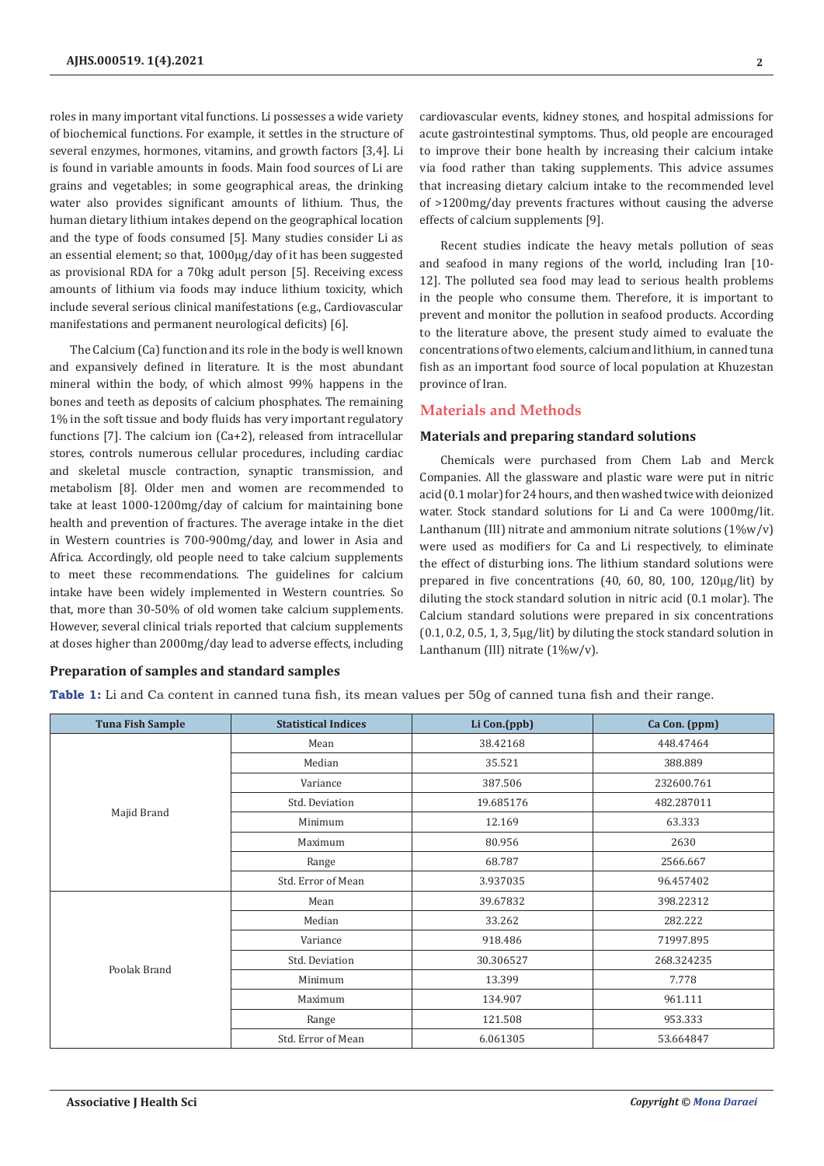roles in many important vital functions. Li possesses a wide variety of biochemical functions. For example, it settles in the structure of several enzymes, hormones, vitamins, and growth factors [3,4]. Li is found in variable amounts in foods. Main food sources of Li are grains and vegetables; in some geographical areas, the drinking water also provides significant amounts of lithium. Thus, the human dietary lithium intakes depend on the geographical location and the type of foods consumed [5]. Many studies consider Li as an essential element; so that, 1000µg/day of it has been suggested as provisional RDA for a 70kg adult person [5]. Receiving excess amounts of lithium via foods may induce lithium toxicity, which include several serious clinical manifestations (e.g., Cardiovascular manifestations and permanent neurological deficits) [6].

The Calcium (Ca) function and its role in the body is well known and expansively defined in literature. It is the most abundant mineral within the body, of which almost 99% happens in the bones and teeth as deposits of calcium phosphates. The remaining 1% in the soft tissue and body fluids has very important regulatory functions [7]. The calcium ion (Ca+2), released from intracellular stores, controls numerous cellular procedures, including cardiac and skeletal muscle contraction, synaptic transmission, and metabolism [8]. Older men and women are recommended to take at least 1000-1200mg/day of calcium for maintaining bone health and prevention of fractures. The average intake in the diet in Western countries is 700-900mg/day, and lower in Asia and Africa. Accordingly, old people need to take calcium supplements to meet these recommendations. The guidelines for calcium intake have been widely implemented in Western countries. So that, more than 30-50% of old women take calcium supplements. However, several clinical trials reported that calcium supplements at doses higher than 2000mg/day lead to adverse effects, including

cardiovascular events, kidney stones, and hospital admissions for acute gastrointestinal symptoms. Thus, old people are encouraged to improve their bone health by increasing their calcium intake via food rather than taking supplements. This advice assumes that increasing dietary calcium intake to the recommended level of >1200mg/day prevents fractures without causing the adverse effects of calcium supplements [9].

Recent studies indicate the heavy metals pollution of seas and seafood in many regions of the world, including Iran [10- 12]. The polluted sea food may lead to serious health problems in the people who consume them. Therefore, it is important to prevent and monitor the pollution in seafood products. According to the literature above, the present study aimed to evaluate the concentrations of two elements, calcium and lithium, in canned tuna fish as an important food source of local population at Khuzestan province of Iran.

## **Materials and Methods**

#### **Materials and preparing standard solutions**

Chemicals were purchased from Chem Lab and Merck Companies. All the glassware and plastic ware were put in nitric acid (0.1 molar) for 24 hours, and then washed twice with deionized water. Stock standard solutions for Li and Ca were 1000mg/lit. Lanthanum (III) nitrate and ammonium nitrate solutions  $(1\%w/v)$ were used as modifiers for Ca and Li respectively, to eliminate the effect of disturbing ions. The lithium standard solutions were prepared in five concentrations (40, 60, 80, 100, 120μg/lit) by diluting the stock standard solution in nitric acid (0.1 molar). The Calcium standard solutions were prepared in six concentrations (0.1, 0.2, 0.5, 1, 3, 5μg/lit) by diluting the stock standard solution in Lanthanum (III) nitrate (1%w/v).

#### **Preparation of samples and standard samples**

**Table 1:** Li and Ca content in canned tuna fish, its mean values per 50g of canned tuna fish and their range.

| <b>Tuna Fish Sample</b> | <b>Statistical Indices</b> | Li Con.(ppb) | Ca Con. (ppm) |  |
|-------------------------|----------------------------|--------------|---------------|--|
|                         | Mean                       | 38.42168     | 448.47464     |  |
| Majid Brand             | Median                     | 35.521       | 388.889       |  |
|                         | Variance                   | 387.506      | 232600.761    |  |
|                         | Std. Deviation             | 19.685176    | 482.287011    |  |
|                         | Minimum                    | 12.169       | 63.333        |  |
|                         | Maximum                    | 80.956       | 2630          |  |
|                         | Range                      | 68.787       | 2566.667      |  |
|                         | Std. Error of Mean         | 3.937035     | 96.457402     |  |
| Poolak Brand            | Mean                       | 39.67832     | 398.22312     |  |
|                         | Median                     | 33.262       | 282.222       |  |
|                         | Variance                   | 918.486      | 71997.895     |  |
|                         | Std. Deviation             | 30.306527    | 268.324235    |  |
|                         | Minimum                    | 13.399       | 7.778         |  |
|                         | Maximum                    | 134.907      | 961.111       |  |
|                         | Range                      | 121.508      | 953.333       |  |
|                         | Std. Error of Mean         | 6.061305     | 53.664847     |  |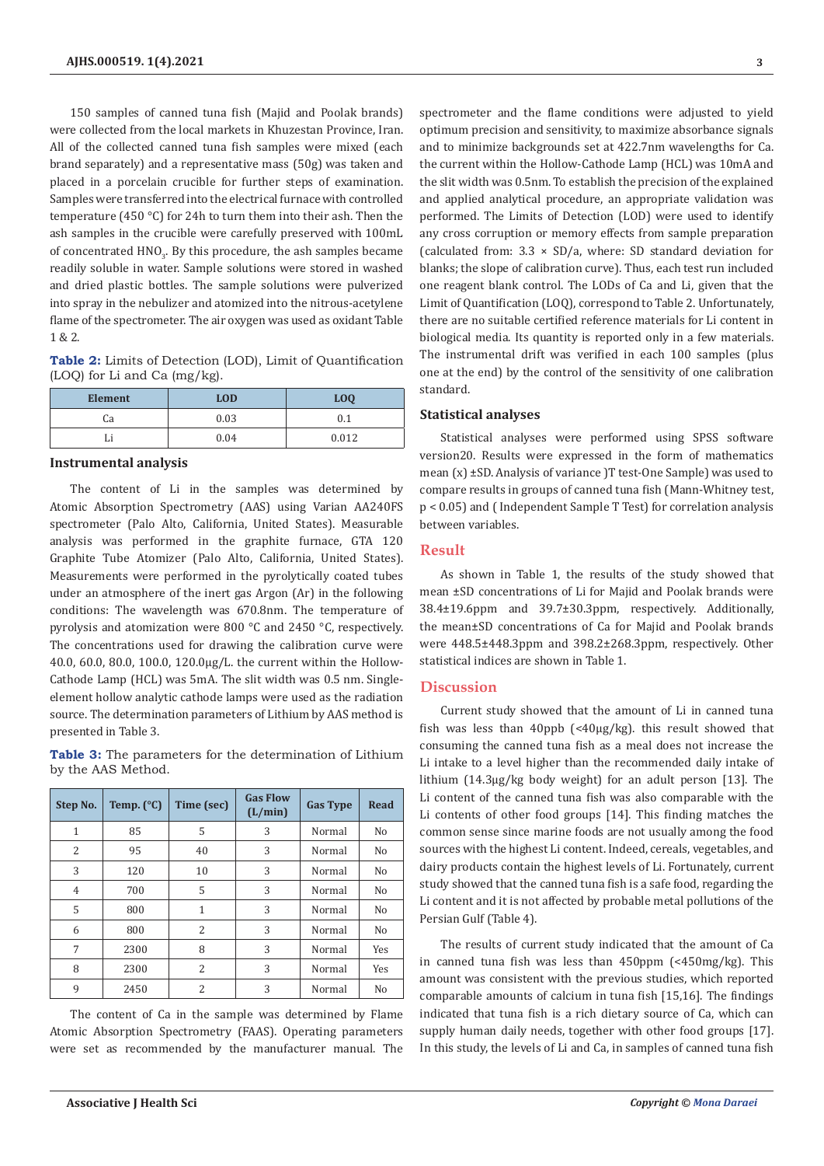150 samples of canned tuna fish (Majid and Poolak brands) were collected from the local markets in Khuzestan Province, Iran. All of the collected canned tuna fish samples were mixed (each brand separately) and a representative mass (50g) was taken and placed in a porcelain crucible for further steps of examination. Samples were transferred into the electrical furnace with controlled temperature (450 °C) for 24h to turn them into their ash. Then the ash samples in the crucible were carefully preserved with 100mL of concentrated  $HNO<sub>3</sub>$ . By this procedure, the ash samples became readily soluble in water. Sample solutions were stored in washed and dried plastic bottles. The sample solutions were pulverized into spray in the nebulizer and atomized into the nitrous-acetylene flame of the spectrometer. The air oxygen was used as oxidant Table 1 & 2.

**Table 2:** Limits of Detection (LOD), Limit of Quantification (LOQ) for Li and Ca (mg/kg).

| <b>Element</b> | <b>LOD</b> | LOQ   |
|----------------|------------|-------|
| Cа             | 0.03       |       |
|                | 0.04       | 0.012 |

#### **Instrumental analysis**

The content of Li in the samples was determined by Atomic Absorption Spectrometry (AAS) using Varian AA240FS spectrometer (Palo Alto, California, United States). Measurable analysis was performed in the graphite furnace, GTA 120 Graphite Tube Atomizer (Palo Alto, California, United States). Measurements were performed in the pyrolytically coated tubes under an atmosphere of the inert gas Argon (Ar) in the following conditions: The wavelength was 670.8nm. The temperature of pyrolysis and atomization were 800 °C and 2450 °C, respectively. The concentrations used for drawing the calibration curve were 40.0, 60.0, 80.0, 100.0, 120.0µg/L. the current within the Hollow-Cathode Lamp (HCL) was 5mA. The slit width was 0.5 nm. Singleelement hollow analytic cathode lamps were used as the radiation source. The determination parameters of Lithium by AAS method is presented in Table 3.

**Table 3:** The parameters for the determination of Lithium by the AAS Method.

| Step No.       | Temp. $(^{\circ}C)$ | Time (sec) | <b>Gas Flow</b><br>(L/min) | <b>Gas Type</b> | <b>Read</b>    |
|----------------|---------------------|------------|----------------------------|-----------------|----------------|
| $\mathbf{1}$   | 85                  | 5          | 3                          | Normal          | N <sub>0</sub> |
| 2              | 95                  | 40         | 3                          | Normal          | No             |
| 3              | 120                 | 10         | 3                          | Normal          | N <sub>0</sub> |
| $\overline{4}$ | 700                 | 5          | 3                          | Normal          | No             |
| 5              | 800                 | 1          | 3                          | Normal          | N <sub>0</sub> |
| 6              | 800                 | 2          | 3                          | Normal          | No             |
| 7              | 2300                | 8          | 3                          | Normal          | Yes            |
| 8              | 2300                | 2          | 3                          | Normal          | Yes            |
| 9              | 2450                | 2          | 3                          | Normal          | No             |

The content of Ca in the sample was determined by Flame Atomic Absorption Spectrometry (FAAS). Operating parameters were set as recommended by the manufacturer manual. The spectrometer and the flame conditions were adjusted to yield optimum precision and sensitivity, to maximize absorbance signals and to minimize backgrounds set at 422.7nm wavelengths for Ca. the current within the Hollow-Cathode Lamp (HCL) was 10mA and the slit width was 0.5nm. To establish the precision of the explained and applied analytical procedure, an appropriate validation was performed. The Limits of Detection (LOD) were used to identify any cross corruption or memory effects from sample preparation (calculated from:  $3.3 \times SD/a$ , where: SD standard deviation for blanks; the slope of calibration curve). Thus, each test run included one reagent blank control. The LODs of Ca and Li, given that the Limit of Quantification (LOQ), correspond to Table 2. Unfortunately, there are no suitable certified reference materials for Li content in biological media. Its quantity is reported only in a few materials. The instrumental drift was verified in each 100 samples (plus one at the end) by the control of the sensitivity of one calibration standard.

### **Statistical analyses**

Statistical analyses were performed using SPSS software version20. Results were expressed in the form of mathematics mean (x) ±SD. Analysis of variance )T test-One Sample) was used to compare results in groups of canned tuna fish (Mann-Whitney test, p < 0.05) and ( Independent Sample T Test) for correlation analysis between variables.

#### **Result**

As shown in Table 1, the results of the study showed that mean ±SD concentrations of Li for Majid and Poolak brands were 38.4±19.6ppm and 39.7±30.3ppm, respectively. Additionally, the mean±SD concentrations of Ca for Majid and Poolak brands were 448.5±448.3ppm and 398.2±268.3ppm, respectively. Other statistical indices are shown in Table 1.

## **Discussion**

Current study showed that the amount of Li in canned tuna fish was less than 40ppb (<40μg/kg). this result showed that consuming the canned tuna fish as a meal does not increase the Li intake to a level higher than the recommended daily intake of lithium (14.3μg/kg body weight) for an adult person [13]. The Li content of the canned tuna fish was also comparable with the Li contents of other food groups [14]. This finding matches the common sense since marine foods are not usually among the food sources with the highest Li content. Indeed, cereals, vegetables, and dairy products contain the highest levels of Li. Fortunately, current study showed that the canned tuna fish is a safe food, regarding the Li content and it is not affected by probable metal pollutions of the Persian Gulf (Table 4).

The results of current study indicated that the amount of Ca in canned tuna fish was less than 450ppm (<450mg/kg). This amount was consistent with the previous studies, which reported comparable amounts of calcium in tuna fish [15,16]. The findings indicated that tuna fish is a rich dietary source of Ca, which can supply human daily needs, together with other food groups [17]. In this study, the levels of Li and Ca, in samples of canned tuna fish